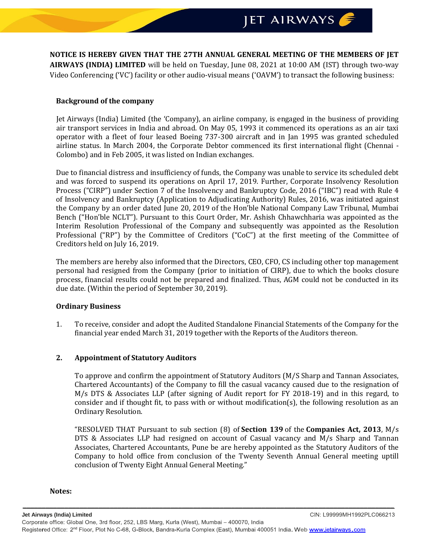**NOTICE IS HEREBY GIVEN THAT THE 27TH ANNUAL GENERAL MEETING OF THE MEMBERS OF JET AIRWAYS (INDIA) LIMITED** will be held on Tuesday, June 08, 2021 at 10:00 AM (IST) through two-way Video Conferencing ('VC') facility or other audio-visual means ('OAVM') to transact the following business:

### **Background of the company**

Jet Airways (India) Limited (the 'Company), an airline company, is engaged in the business of providing air transport services in India and abroad. On May 05, 1993 it commenced its operations as an air taxi operator with a fleet of four leased Boeing 737-300 aircraft and in Jan 1995 was granted scheduled airline status. In March 2004, the Corporate Debtor commenced its first international flight (Chennai - Colombo) and in Feb 2005, it was listed on Indian exchanges.

Due to financial distress and insufficiency of funds, the Company was unable to service its scheduled debt and was forced to suspend its operations on April 17, 2019. Further, Corporate Insolvency Resolution Process ("CIRP") under Section 7 of the Insolvency and Bankruptcy Code, 2016 ("IBC") read with Rule 4 of Insolvency and Bankruptcy (Application to Adjudicating Authority) Rules, 2016, was initiated against the Company by an order dated June 20, 2019 of the Hon'ble National Company Law Tribunal, Mumbai Bench ("Hon'ble NCLT"). Pursuant to this Court Order, Mr. Ashish Chhawchharia was appointed as the Interim Resolution Professional of the Company and subsequently was appointed as the Resolution Professional ("RP") by the Committee of Creditors ("CoC") at the first meeting of the Committee of Creditors held on July 16, 2019.

The members are hereby also informed that the Directors, CEO, CFO, CS including other top management personal had resigned from the Company (prior to initiation of CIRP), due to which the books closure process, financial results could not be prepared and finalized. Thus, AGM could not be conducted in its due date. (Within the period of September 30, 2019).

#### **Ordinary Business**

1. To receive, consider and adopt the Audited Standalone Financial Statements of the Company for the financial year ended March 31, 2019 together with the Reports of the Auditors thereon.

# **2. Appointment of Statutory Auditors**

To approve and confirm the appointment of Statutory Auditors (M/S Sharp and Tannan Associates, Chartered Accountants) of the Company to fill the casual vacancy caused due to the resignation of M/s DTS & Associates LLP (after signing of Audit report for FY 2018-19) and in this regard, to consider and if thought fit, to pass with or without modification(s), the following resolution as an Ordinary Resolution.

"RESOLVED THAT Pursuant to sub section (8) of **[Section 139](https://taxguru.in/company-law/section-139-companies-act-2013.html)** of the **[Companies Act, 2013](https://taxguru.in/company-law/presidents-assent-companies-act-2013.html)**, M/s DTS & Associates LLP had resigned on account of Casual vacancy and M/s Sharp and Tannan Associates, Chartered Accountants, Pune be are hereby appointed as the Statutory Auditors of the Company to hold office from conclusion of the Twenty Seventh Annual General meeting uptill conclusion of Twenty Eight Annual General Meeting."

#### **Notes:**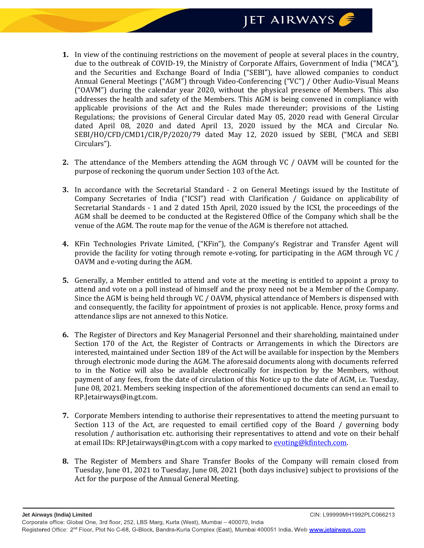- **1.** In view of the continuing restrictions on the movement of people at several places in the country, due to the outbreak of COVID-19, the Ministry of Corporate Affairs, Government of India ("MCA"), and the Securities and Exchange Board of India ("SEBI"), have allowed companies to conduct Annual General Meetings ("AGM") through Video-Conferencing ("VC") / Other Audio-Visual Means ("OAVM") during the calendar year 2020, without the physical presence of Members. This also addresses the health and safety of the Members. This AGM is being convened in compliance with applicable provisions of the Act and the Rules made thereunder; provisions of the Listing Regulations; the provisions of General Circular dated May 05, 2020 read with General Circular dated April 08, 2020 and dated April 13, 2020 issued by the MCA and Circular No. SEBI/HO/CFD/CMD1/CIR/P/2020/79 dated May 12, 2020 issued by SEBI, ("MCA and SEBI Circulars").
- **2.** The attendance of the Members attending the AGM through VC / OAVM will be counted for the purpose of reckoning the quorum under Section 103 of the Act.
- **3.** In accordance with the Secretarial Standard 2 on General Meetings issued by the Institute of Company Secretaries of India ("ICSI") read with Clarification / Guidance on applicability of Secretarial Standards - 1 and 2 dated 15th April, 2020 issued by the ICSI, the proceedings of the AGM shall be deemed to be conducted at the Registered Office of the Company which shall be the venue of the AGM. The route map for the venue of the AGM is therefore not attached.
- **4.** KFin Technologies Private Limited, ("KFin"), the Company's Registrar and Transfer Agent will provide the facility for voting through remote e-voting, for participating in the AGM through VC / OAVM and e-voting during the AGM.
- **5.** Generally, a Member entitled to attend and vote at the meeting is entitled to appoint a proxy to attend and vote on a poll instead of himself and the proxy need not be a Member of the Company. Since the AGM is being held through VC / OAVM, physical attendance of Members is dispensed with and consequently, the facility for appointment of proxies is not applicable. Hence, proxy forms and attendance slips are not annexed to this Notice.
- **6.** The Register of Directors and Key Managerial Personnel and their shareholding, maintained under Section 170 of the Act, the Register of Contracts or Arrangements in which the Directors are interested, maintained under Section 189 of the Act will be available for inspection by the Members through electronic mode during the AGM. The aforesaid documents along with documents referred to in the Notice will also be available electronically for inspection by the Members, without payment of any fees, from the date of circulation of this Notice up to the date of AGM, i.e. Tuesday, June 08, 2021. Members seeking inspection of the aforementioned documents can send an email to RP.Jetairways@in.gt.com.
- **7.** Corporate Members intending to authorise their representatives to attend the meeting pursuant to Section 113 of the Act, are requested to email certified copy of the Board / governing body resolution / authorisation etc. authorising their representatives to attend and vote on their behalf at email IDs: RP.Jetairways@in.gt.com with a copy marked to [evoting@kfintech.com.](mailto:evoting@kfintech.com)
- **8.** The Register of Members and Share Transfer Books of the Company will remain closed from Tuesday, June 01, 2021 to Tuesday, June 08, 2021 (both days inclusive) subject to provisions of the Act for the purpose of the Annual General Meeting.

*\_\_\_\_\_\_\_\_\_\_\_\_\_\_\_\_\_\_\_\_\_\_\_\_\_\_\_\_\_\_\_\_\_\_\_\_\_\_\_\_\_\_\_\_\_\_\_\_\_\_\_\_\_\_\_\_\_\_\_\_\_\_\_\_\_\_\_\_\_\_\_\_\_\_\_\_\_\_\_\_\_\_\_\_\_\_\_\_\_\_\_\_\_\_\_\_\_\_*

CIN: L99999MH1992PLC066213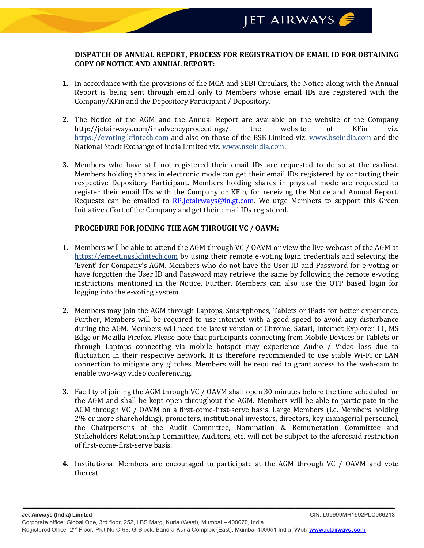# **DISPATCH OF ANNUAL REPORT, PROCESS FOR REGISTRATION OF EMAIL ID FOR OBTAINING COPY OF NOTICE AND ANNUAL REPORT:**

- **1.** In accordance with the provisions of the MCA and SEBI Circulars, the Notice along with the Annual Report is being sent through email only to Members whose email IDs are registered with the Company/KFin and the Depository Participant / Depository.
- **2.** The Notice of the AGM and the Annual Report are available on the website of the Company [http://jetairways.com/insolvencyproceedings/,](http://jetairways.com/insolvencyproceedings/) the website of KFin viz. https://evoting.kfintech.com and also on those of the BSE Limited viz. www.bseindia.com and the National Stock Exchange of India Limited viz. [www.nseindia.com.](http://www.nseindia.com/)
- **3.** Members who have still not registered their email IDs are requested to do so at the earliest. Members holding shares in electronic mode can get their email IDs registered by contacting their respective Depository Participant. Members holding shares in physical mode are requested to register their email IDs with the Company or KFin, for receiving the Notice and Annual Report. Requests can be emailed to RP. Jetairways @in.gt.com. We urge Members to support this Green Initiative effort of the Company and get their email IDs registered.

# **PROCEDURE FOR JOINING THE AGM THROUGH VC / OAVM:**

- **1.** Members will be able to attend the AGM through VC / OAVM or view the live webcast of the AGM at https://emeetings.kfintech.com by using their remote e-voting login credentials and selecting the 'Event' for Company's AGM. Members who do not have the User ID and Password for e-voting or have forgotten the User ID and Password may retrieve the same by following the remote e-voting instructions mentioned in the Notice. Further, Members can also use the OTP based login for logging into the e-voting system.
- **2.** Members may join the AGM through Laptops, Smartphones, Tablets or iPads for better experience. Further, Members will be required to use internet with a good speed to avoid any disturbance during the AGM. Members will need the latest version of Chrome, Safari, Internet Explorer 11, MS Edge or Mozilla Firefox. Please note that participants connecting from Mobile Devices or Tablets or through Laptops connecting via mobile hotspot may experience Audio / Video loss due to fluctuation in their respective network. It is therefore recommended to use stable Wi-Fi or LAN connection to mitigate any glitches. Members will be required to grant access to the web-cam to enable two-way video conferencing.
- **3.** Facility of joining the AGM through VC / OAVM shall open 30 minutes before the time scheduled for the AGM and shall be kept open throughout the AGM. Members will be able to participate in the AGM through VC / OAVM on a first-come-first-serve basis. Large Members (i.e. Members holding 2% or more shareholding), promoters, institutional investors, directors, key managerial personnel, the Chairpersons of the Audit Committee, Nomination & Remuneration Committee and Stakeholders Relationship Committee, Auditors, etc. will not be subject to the aforesaid restriction of first-come-first-serve basis.
- **4.** Institutional Members are encouraged to participate at the AGM through VC / OAVM and vote thereat.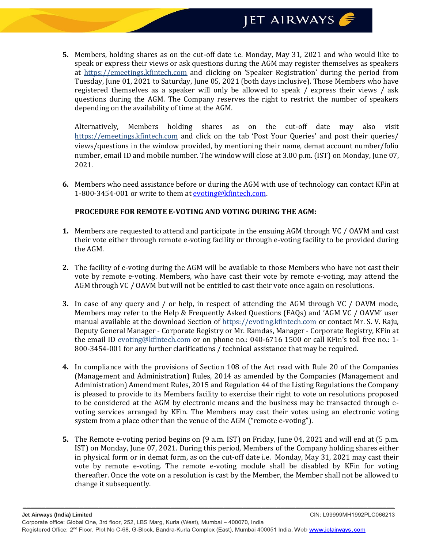**5.** Members, holding shares as on the cut-off date i.e. Monday, May 31, 2021 and who would like to speak or express their views or ask questions during the AGM may register themselves as speakers at https://emeetings.kfintech.com and clicking on 'Speaker Registration' during the period from Tuesday, June 01, 2021 to Saturday, June 05, 2021 (both days inclusive). Those Members who have registered themselves as a speaker will only be allowed to speak / express their views / ask questions during the AGM. The Company reserves the right to restrict the number of speakers depending on the availability of time at the AGM.

Alternatively, Members holding shares as on the cut-off date may also visit https://emeetings.kfintech.com and click on the tab 'Post Your Queries' and post their queries/ views/questions in the window provided, by mentioning their name, demat account number/folio number, email ID and mobile number. The window will close at 3.00 p.m. (IST) on Monday, June 07, 2021.

**6.** Members who need assistance before or during the AGM with use of technology can contact KFin at 1-800-3454-001 or write to them at [evoting@kfintech.com.](mailto:evoting@kfintech.com)

# **PROCEDURE FOR REMOTE E-VOTING AND VOTING DURING THE AGM:**

- **1.** Members are requested to attend and participate in the ensuing AGM through VC / OAVM and cast their vote either through remote e-voting facility or through e-voting facility to be provided during the AGM.
- **2.** The facility of e-voting during the AGM will be available to those Members who have not cast their vote by remote e-voting. Members, who have cast their vote by remote e-voting, may attend the AGM through VC / OAVM but will not be entitled to cast their vote once again on resolutions.
- **3.** In case of any query and / or help, in respect of attending the AGM through VC / OAVM mode, Members may refer to the Help & Frequently Asked Questions (FAQs) and 'AGM VC / OAVM' user manual available at the download Section of https://evoting.kfintech.com or contact Mr. S. V. Raju, Deputy General Manager - Corporate Registry or Mr. Ramdas, Manager - Corporate Registry, KFin at the email ID evoting@kfintech.com or on phone no.: 040-6716 1500 or call KFin's toll free no.: 1- 800-3454-001 for any further clarifications / technical assistance that may be required.
- **4.** In compliance with the provisions of Section 108 of the Act read with Rule 20 of the Companies (Management and Administration) Rules, 2014 as amended by the Companies (Management and Administration) Amendment Rules, 2015 and Regulation 44 of the Listing Regulations the Company is pleased to provide to its Members facility to exercise their right to vote on resolutions proposed to be considered at the AGM by electronic means and the business may be transacted through evoting services arranged by KFin. The Members may cast their votes using an electronic voting system from a place other than the venue of the AGM ("remote e-voting").
- **5.** The Remote e-voting period begins on (9 a.m. IST) on Friday, June 04, 2021 and will end at (5 p.m. IST) on Monday, June 07, 2021. During this period, Members of the Company holding shares either in physical form or in demat form, as on the cut-off date i.e. Monday, May 31, 2021 may cast their vote by remote e-voting. The remote e-voting module shall be disabled by KFin for voting thereafter. Once the vote on a resolution is cast by the Member, the Member shall not be allowed to change it subsequently.

*\_\_\_\_\_\_\_\_\_\_\_\_\_\_\_\_\_\_\_\_\_\_\_\_\_\_\_\_\_\_\_\_\_\_\_\_\_\_\_\_\_\_\_\_\_\_\_\_\_\_\_\_\_\_\_\_\_\_\_\_\_\_\_\_\_\_\_\_\_\_\_\_\_\_\_\_\_\_\_\_\_\_\_\_\_\_\_\_\_\_\_\_\_\_\_\_\_\_*

CIN: L99999MH1992PLC066213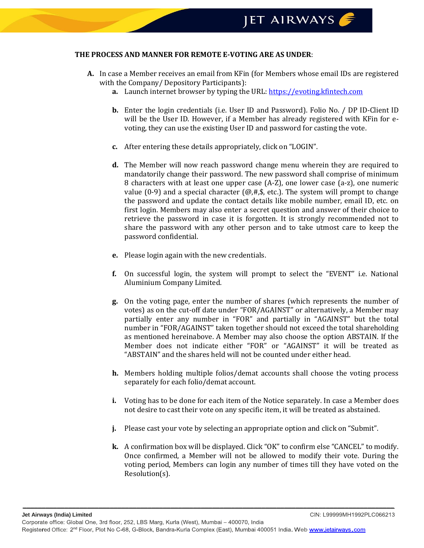#### **THE PROCESS AND MANNER FOR REMOTE E-VOTING ARE AS UNDER**:

- **A.** In case a Member receives an email from KFin (for Members whose email IDs are registered with the Company/ Depository Participants):
	- **a.** Launch internet browser by typing the URL[: https://evoting.kfintech.com](https://evoting.kfintech.com/)
	- **b.** Enter the login credentials (i.e. User ID and Password). Folio No. / DP ID-Client ID will be the User ID. However, if a Member has already registered with KFin for evoting, they can use the existing User ID and password for casting the vote.
	- **c.** After entering these details appropriately, click on "LOGIN".
	- **d.** The Member will now reach password change menu wherein they are required to mandatorily change their password. The new password shall comprise of minimum 8 characters with at least one upper case (A-Z), one lower case (a-z), one numeric value (0-9) and a special character ( $(\mathcal{Q}, \#,\$)$ , etc.). The system will prompt to change the password and update the contact details like mobile number, email ID, etc. on first login. Members may also enter a secret question and answer of their choice to retrieve the password in case it is forgotten. It is strongly recommended not to share the password with any other person and to take utmost care to keep the password confidential.
	- **e.** Please login again with the new credentials.
	- **f.** On successful login, the system will prompt to select the "EVENT" i.e. National Aluminium Company Limited.
	- **g.** On the voting page, enter the number of shares (which represents the number of votes) as on the cut-off date under "FOR/AGAINST" or alternatively, a Member may partially enter any number in "FOR" and partially in "AGAINST" but the total number in "FOR/AGAINST" taken together should not exceed the total shareholding as mentioned hereinabove. A Member may also choose the option ABSTAIN. If the Member does not indicate either "FOR" or "AGAINST" it will be treated as "ABSTAIN" and the shares held will not be counted under either head.
	- **h.** Members holding multiple folios/demat accounts shall choose the voting process separately for each folio/demat account.
	- **i.** Voting has to be done for each item of the Notice separately. In case a Member does not desire to cast their vote on any specific item, it will be treated as abstained.
	- **j.** Please cast your vote by selecting an appropriate option and click on "Submit".
	- **k.** A confirmation box will be displayed. Click "OK" to confirm else "CANCEL" to modify. Once confirmed, a Member will not be allowed to modify their vote. During the voting period, Members can login any number of times till they have voted on the Resolution(s).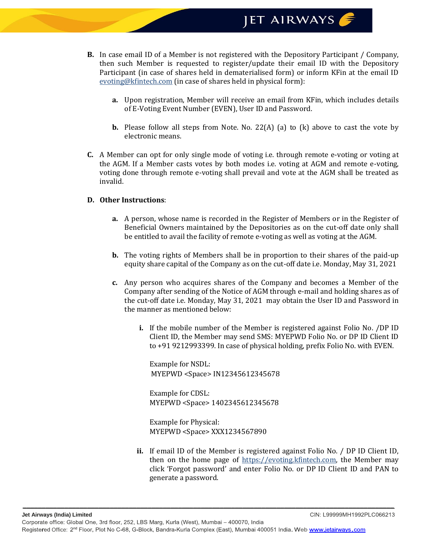JET AIRWAYS

- **B.** In case email ID of a Member is not registered with the Depository Participant / Company, then such Member is requested to register/update their email ID with the Depository Participant (in case of shares held in dematerialised form) or inform KFin at the email ID evoting@kfintech.com (in case of shares held in physical form):
	- **a.** Upon registration, Member will receive an email from KFin, which includes details of E-Voting Event Number (EVEN), User ID and Password.
	- **b.** Please follow all steps from Note. No. 22(A) (a) to (k) above to cast the vote by electronic means.
- **C.** A Member can opt for only single mode of voting i.e. through remote e-voting or voting at the AGM. If a Member casts votes by both modes i.e. voting at AGM and remote e-voting, voting done through remote e-voting shall prevail and vote at the AGM shall be treated as invalid.

#### **D. Other Instructions**:

- **a.** A person, whose name is recorded in the Register of Members or in the Register of Beneficial Owners maintained by the Depositories as on the cut-off date only shall be entitled to avail the facility of remote e-voting as well as voting at the AGM.
- **b.** The voting rights of Members shall be in proportion to their shares of the paid-up equity share capital of the Company as on the cut-off date i.e. Monday, May 31, 2021
- **c.** Any person who acquires shares of the Company and becomes a Member of the Company after sending of the Notice of AGM through e-mail and holding shares as of the cut-off date i.e. Monday, May 31, 2021 may obtain the User ID and Password in the manner as mentioned below:
	- **i.** If the mobile number of the Member is registered against Folio No. /DP ID Client ID, the Member may send SMS: MYEPWD Folio No. or DP ID Client ID to +91 9212993399. In case of physical holding, prefix Folio No. with EVEN.

Example for NSDL: MYEPWD <Space> IN12345612345678

Example for CDSL: MYEPWD <Space> 1402345612345678

Example for Physical: MYEPWD <Space> XXX1234567890

*\_\_\_\_\_\_\_\_\_\_\_\_\_\_\_\_\_\_\_\_\_\_\_\_\_\_\_\_\_\_\_\_\_\_\_\_\_\_\_\_\_\_\_\_\_\_\_\_\_\_\_\_\_\_\_\_\_\_\_\_\_\_\_\_\_\_\_\_\_\_\_\_\_\_\_\_\_\_\_\_\_\_\_\_\_\_\_\_\_\_\_\_\_\_\_\_\_\_*

**ii.** If email ID of the Member is registered against Folio No. / DP ID Client ID, then on the home page of https://evoting.kfintech.com, the Member may click 'Forgot password' and enter Folio No. or DP ID Client ID and PAN to generate a password.

CIN: L99999MH1992PLC066213